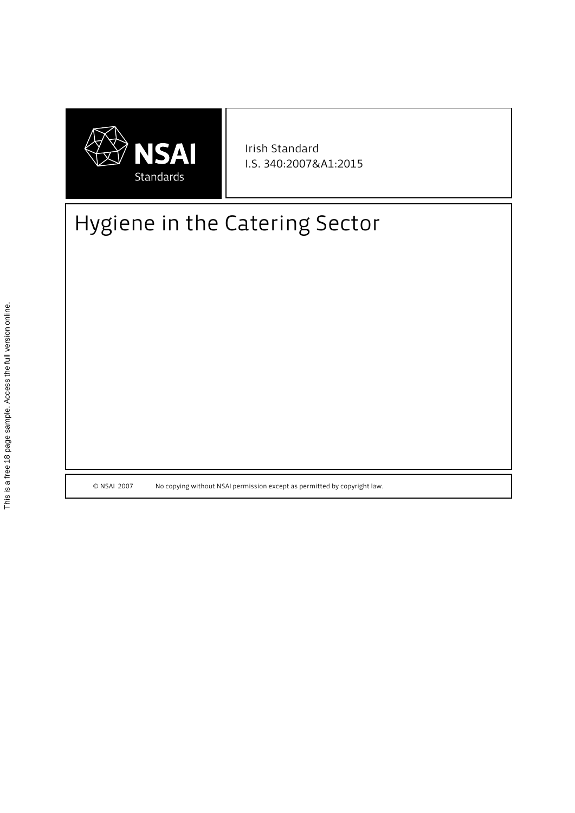

I.S. 340:2007&A1:2015 Irish Standard

# Hygiene in the Catering Sector

© NSAI 2007 No copying without NSAI permission except as permitted by copyright law.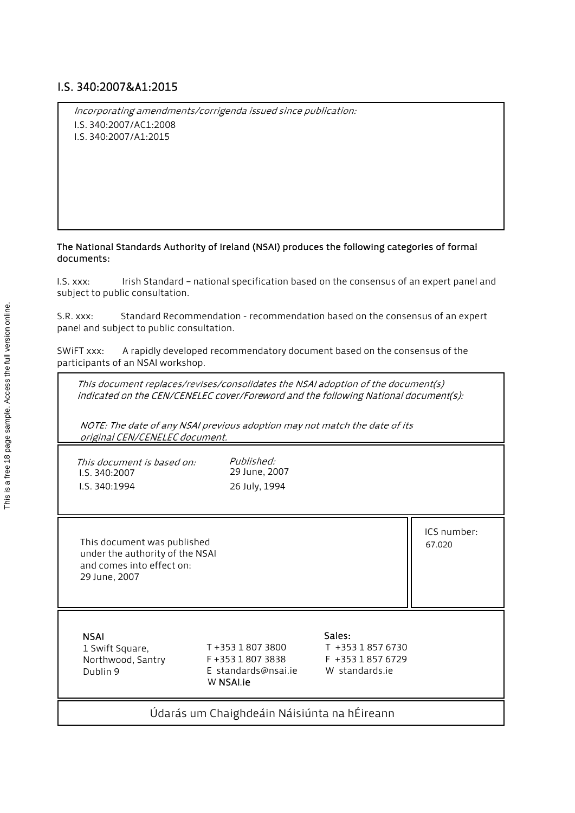# I.S. 340:2007&A1:2015

Incorporating amendments/corrigenda issued since publication: I.S. 340:2007/AC1:2008 I.S. 340:2007/A1:2015

#### The National Standards Authority of Ireland (NSAI) produces the following categories of formal documents:

I.S. xxx: Irish Standard – national specification based on the consensus of an expert panel and subject to public consultation.

S.R. xxx: Standard Recommendation - recommendation based on the consensus of an expert panel and subject to public consultation.

SWiFT xxx: A rapidly developed recommendatory document based on the consensus of the participants of an NSAI workshop.

This document replaces/revises/consolidates the NSAI adoption of the document(s) indicated on the CEN/CENELEC cover/Foreword and the following National document(s):

NOTE: The date of any NSAI previous adoption may not match the date of its original CEN/CENELEC document.

| This document is based on:<br>I.S. 340:2007<br>I.S. 340:1994                                                 | Published:<br>29 June, 2007<br>26 July, 1994                               |                                                                   |                       |
|--------------------------------------------------------------------------------------------------------------|----------------------------------------------------------------------------|-------------------------------------------------------------------|-----------------------|
| This document was published<br>under the authority of the NSAI<br>and comes into effect on:<br>29 June, 2007 |                                                                            |                                                                   | ICS number:<br>67.020 |
| <b>NSAI</b><br>1 Swift Square,<br>Northwood, Santry<br>Dublin 9                                              | T +353 1 807 3800<br>F +353 1 807 3838<br>E standards@nsai.ie<br>W NSAI.ie | Sales:<br>T +353 1 857 6730<br>F +353 1857 6729<br>W standards.je |                       |
| Údarás um Chaighdeáin Náisiúnta na hÉireann                                                                  |                                                                            |                                                                   |                       |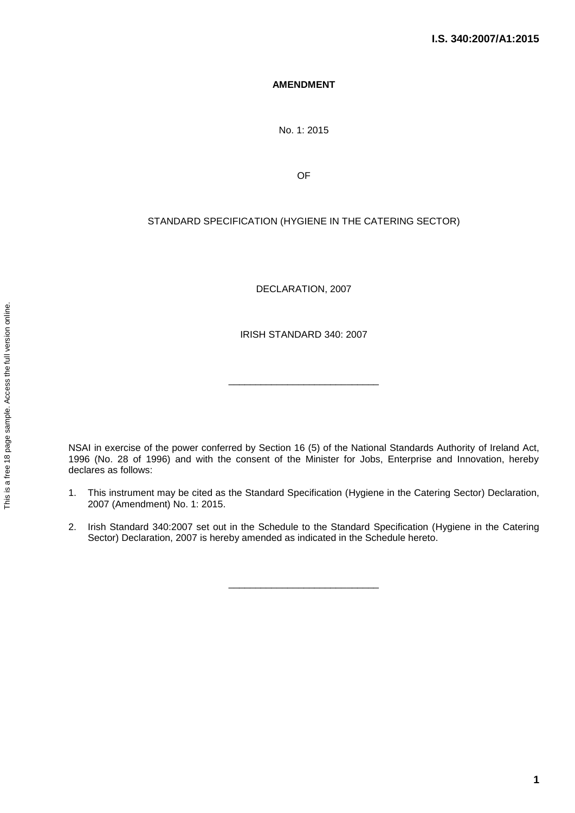# This is a free 18 page sample. Access the full version online. This is a free 18 page sample. Access the full version online.

# **AMENDMENT**

No. 1: 2015

OF

# STANDARD SPECIFICATION (HYGIENE IN THE CATERING SECTOR)

DECLARATION, 2007

IRISH STANDARD 340: 2007

\_\_\_\_\_\_\_\_\_\_\_\_\_\_\_\_\_\_\_\_\_\_\_\_\_\_\_\_

NSAI in exercise of the power conferred by Section 16 (5) of the National Standards Authority of Ireland Act, 1996 (No. 28 of 1996) and with the consent of the Minister for Jobs, Enterprise and Innovation, hereby declares as follows:

- 1. This instrument may be cited as the Standard Specification (Hygiene in the Catering Sector) Declaration, 2007 (Amendment) No. 1: 2015.
- 2. Irish Standard 340:2007 set out in the Schedule to the Standard Specification (Hygiene in the Catering Sector) Declaration, 2007 is hereby amended as indicated in the Schedule hereto.

\_\_\_\_\_\_\_\_\_\_\_\_\_\_\_\_\_\_\_\_\_\_\_\_\_\_\_\_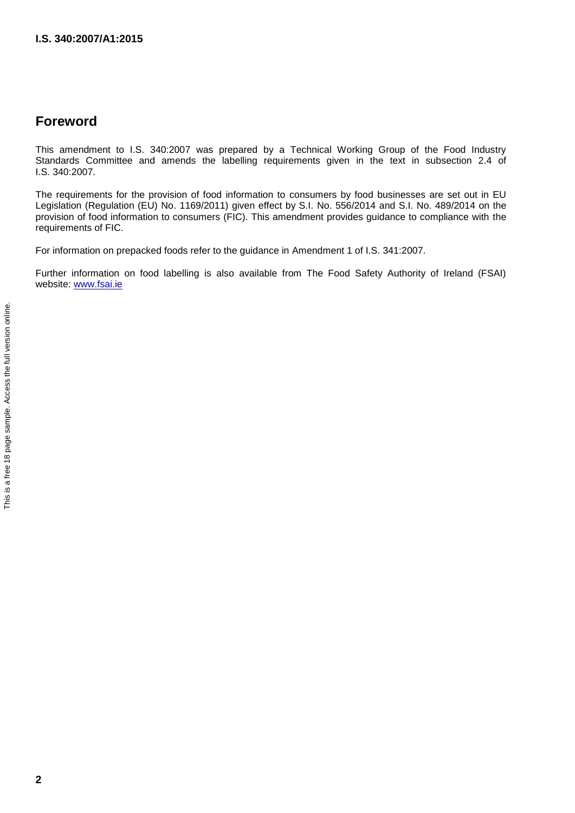# **Foreword**

This amendment to I.S. 340:2007 was prepared by a Technical Working Group of the Food Industry Standards Committee and amends the labelling requirements given in the text in subsection 2.4 of I.S. 340:2007.

The requirements for the provision of food information to consumers by food businesses are set out in EU Legislation (Regulation (EU) No. 1169/2011) given effect by S.I. No. 556/2014 and S.I. No. 489/2014 on the provision of food information to consumers (FIC). This amendment provides guidance to compliance with the requirements of FIC.

For information on prepacked foods refer to the guidance in Amendment 1 of I.S. 341:2007.

Further information on food labelling is also available from The Food Safety Authority of Ireland (FSAI) website: [www.fsai.ie](http://www.fsai.ie/)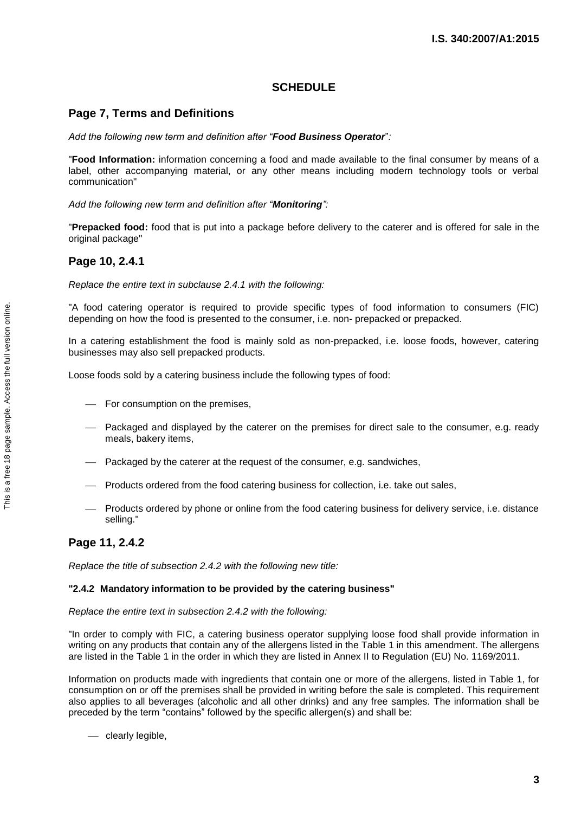# **SCHEDULE**

# **Page 7, Terms and Definitions**

*Add the following new term and definition after "Food Business Operator*"*:*

"**Food Information:** information concerning a food and made available to the final consumer by means of a label, other accompanying material, or any other means including modern technology tools or verbal communication"

*Add the following new term and definition after "Monitoring":*

"**Prepacked food:** food that is put into a package before delivery to the caterer and is offered for sale in the original package"

# **Page 10, 2.4.1**

*Replace the entire text in subclause 2.4.1 with the following:*

"A food catering operator is required to provide specific types of food information to consumers (FIC) depending on how the food is presented to the consumer, i.e. non- prepacked or prepacked.

In a catering establishment the food is mainly sold as non-prepacked, i.e. loose foods, however, catering businesses may also sell prepacked products.

Loose foods sold by a catering business include the following types of food:

- For consumption on the premises,
- Packaged and displayed by the caterer on the premises for direct sale to the consumer, e.g. ready meals, bakery items,
- Packaged by the caterer at the request of the consumer, e.g. sandwiches,
- Products ordered from the food catering business for collection, i.e. take out sales,
- Products ordered by phone or online from the food catering business for delivery service, i.e. distance selling."

# **Page 11, 2.4.2**

*Replace the title of subsection 2.4.2 with the following new title:*

#### **"2.4.2 Mandatory information to be provided by the catering business"**

*Replace the entire text in subsection 2.4.2 with the following:*

"In order to comply with FIC, a catering business operator supplying loose food shall provide information in writing on any products that contain any of the allergens listed in the Table 1 in this amendment. The allergens are listed in the Table 1 in the order in which they are listed in Annex II to Regulation (EU) No. 1169/2011.

Information on products made with ingredients that contain one or more of the allergens, listed in Table 1, for consumption on or off the premises shall be provided in writing before the sale is completed. This requirement also applies to all beverages (alcoholic and all other drinks) and any free samples. The information shall be preceded by the term "contains" followed by the specific allergen(s) and shall be:

 $-$  clearly legible,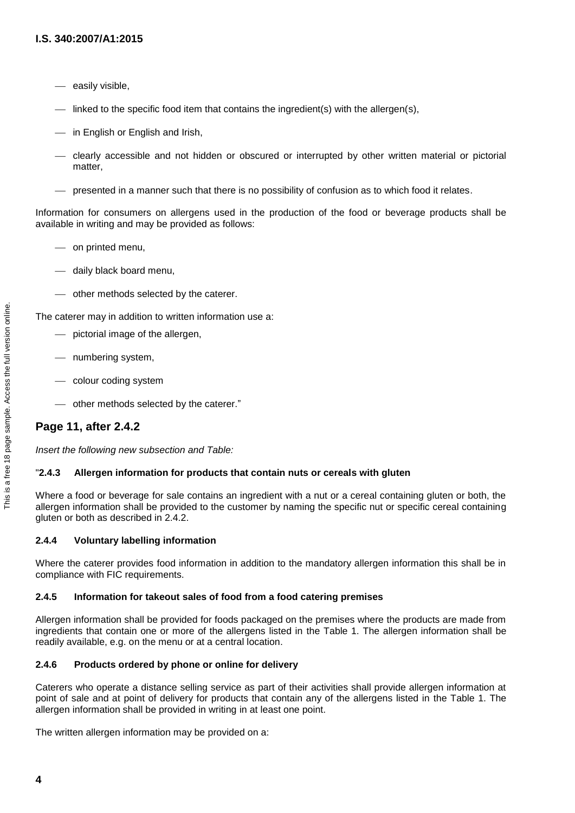- easily visible,
- $\mu$  linked to the specific food item that contains the ingredient(s) with the allergen(s),
- in English or English and Irish,
- clearly accessible and not hidden or obscured or interrupted by other written material or pictorial matter
- presented in a manner such that there is no possibility of confusion as to which food it relates.

Information for consumers on allergens used in the production of the food or beverage products shall be available in writing and may be provided as follows:

- on printed menu,
- daily black board menu.
- $-$  other methods selected by the caterer.

The caterer may in addition to written information use a:

- pictorial image of the allergen,
- numbering system,
- colour coding system
- other methods selected by the caterer."

# **Page 11, after 2.4.2**

*Insert the following new subsection and Table:*

#### "**2.4.3 Allergen information for products that contain nuts or cereals with gluten**

Where a food or beverage for sale contains an ingredient with a nut or a cereal containing gluten or both, the allergen information shall be provided to the customer by naming the specific nut or specific cereal containing gluten or both as described in 2.4.2.

#### **2.4.4 Voluntary labelling information**

Where the caterer provides food information in addition to the mandatory allergen information this shall be in compliance with FIC requirements.

#### **2.4.5 Information for takeout sales of food from a food catering premises**

Allergen information shall be provided for foods packaged on the premises where the products are made from ingredients that contain one or more of the allergens listed in the Table 1. The allergen information shall be readily available, e.g. on the menu or at a central location.

#### **2.4.6 Products ordered by phone or online for delivery**

Caterers who operate a distance selling service as part of their activities shall provide allergen information at point of sale and at point of delivery for products that contain any of the allergens listed in the Table 1. The allergen information shall be provided in writing in at least one point.

The written allergen information may be provided on a: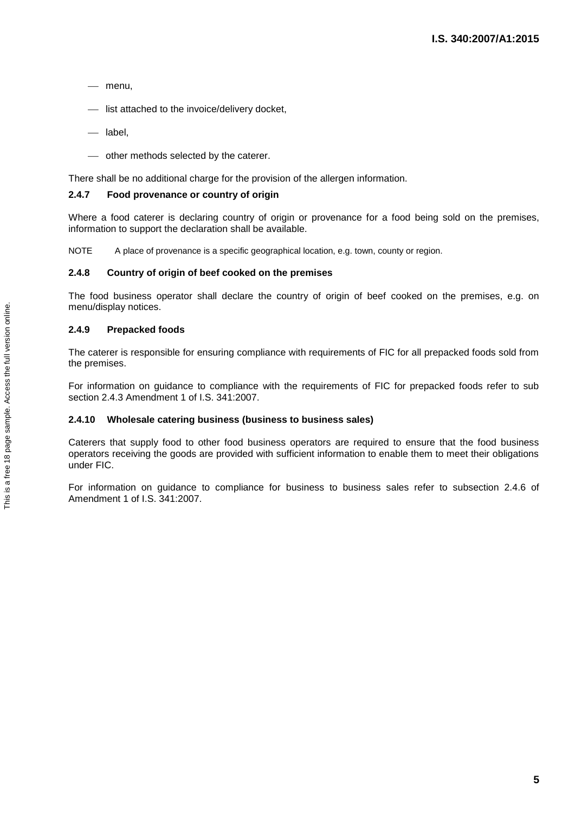- menu,
- list attached to the invoice/delivery docket,
- label,
- other methods selected by the caterer.

There shall be no additional charge for the provision of the allergen information.

#### **2.4.7 Food provenance or country of origin**

Where a food caterer is declaring country of origin or provenance for a food being sold on the premises, information to support the declaration shall be available.

NOTE A place of provenance is a specific geographical location, e.g. town, county or region.

#### **2.4.8 Country of origin of beef cooked on the premises**

The food business operator shall declare the country of origin of beef cooked on the premises, e.g. on menu/display notices.

#### **2.4.9 Prepacked foods**

The caterer is responsible for ensuring compliance with requirements of FIC for all prepacked foods sold from the premises.

For information on guidance to compliance with the requirements of FIC for prepacked foods refer to sub section 2.4.3 Amendment 1 of I.S. 341:2007.

#### **2.4.10 Wholesale catering business (business to business sales)**

Caterers that supply food to other food business operators are required to ensure that the food business operators receiving the goods are provided with sufficient information to enable them to meet their obligations under FIC.

For information on guidance to compliance for business to business sales refer to subsection 2.4.6 of Amendment 1 of I.S. 341:2007.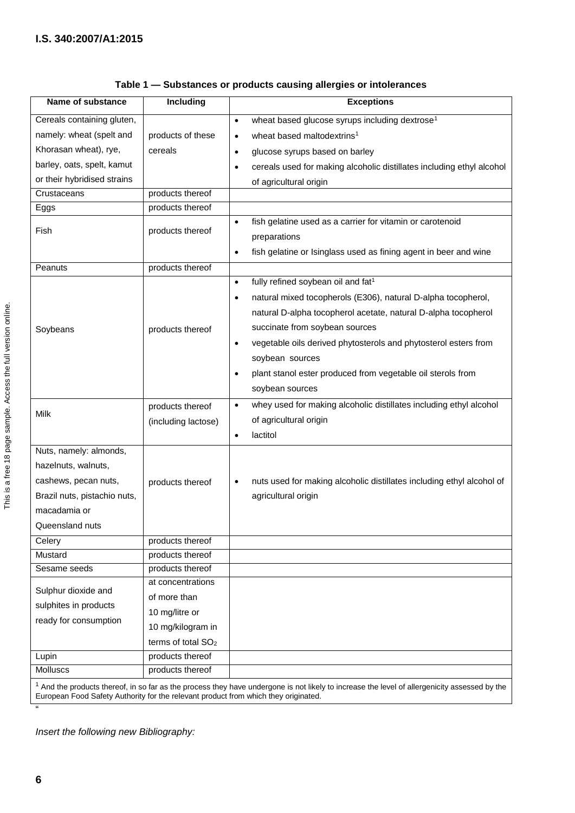| Table T — Substances or products causing allergies or intolerances |                                |                                                                                                                                                                         |  |  |
|--------------------------------------------------------------------|--------------------------------|-------------------------------------------------------------------------------------------------------------------------------------------------------------------------|--|--|
| Name of substance                                                  | Including                      | <b>Exceptions</b>                                                                                                                                                       |  |  |
| Cereals containing gluten,                                         |                                | wheat based glucose syrups including dextrose <sup>1</sup><br>$\bullet$                                                                                                 |  |  |
| namely: wheat (spelt and                                           | products of these              | wheat based maltodextrins <sup>1</sup><br>$\bullet$                                                                                                                     |  |  |
| Khorasan wheat), rye,                                              | cereals                        | glucose syrups based on barley<br>$\bullet$                                                                                                                             |  |  |
| barley, oats, spelt, kamut                                         |                                | cereals used for making alcoholic distillates including ethyl alcohol<br>$\bullet$                                                                                      |  |  |
| or their hybridised strains                                        |                                | of agricultural origin                                                                                                                                                  |  |  |
| Crustaceans                                                        | products thereof               |                                                                                                                                                                         |  |  |
| Eggs                                                               | products thereof               |                                                                                                                                                                         |  |  |
| Fish                                                               | products thereof               | fish gelatine used as a carrier for vitamin or carotenoid<br>$\bullet$<br>preparations<br>fish gelatine or Isinglass used as fining agent in beer and wine<br>$\bullet$ |  |  |
| Peanuts                                                            | products thereof               |                                                                                                                                                                         |  |  |
|                                                                    |                                | fully refined soybean oil and fat <sup>1</sup>                                                                                                                          |  |  |
|                                                                    |                                | $\bullet$                                                                                                                                                               |  |  |
|                                                                    |                                | natural mixed tocopherols (E306), natural D-alpha tocopherol,<br>$\bullet$                                                                                              |  |  |
|                                                                    |                                | natural D-alpha tocopherol acetate, natural D-alpha tocopherol                                                                                                          |  |  |
| Soybeans                                                           | products thereof               | succinate from soybean sources                                                                                                                                          |  |  |
|                                                                    |                                | vegetable oils derived phytosterols and phytosterol esters from<br>$\bullet$                                                                                            |  |  |
|                                                                    |                                | soybean sources                                                                                                                                                         |  |  |
|                                                                    |                                | plant stanol ester produced from vegetable oil sterols from<br>$\bullet$                                                                                                |  |  |
|                                                                    |                                | soybean sources                                                                                                                                                         |  |  |
| Milk                                                               | products thereof               | whey used for making alcoholic distillates including ethyl alcohol<br>$\bullet$                                                                                         |  |  |
|                                                                    | (including lactose)            | of agricultural origin                                                                                                                                                  |  |  |
|                                                                    |                                | lactitol<br>$\bullet$                                                                                                                                                   |  |  |
| Nuts, namely: almonds,                                             |                                |                                                                                                                                                                         |  |  |
| hazelnuts, walnuts,                                                |                                |                                                                                                                                                                         |  |  |
| cashews, pecan nuts,                                               | products thereof               | nuts used for making alcoholic distillates including ethyl alcohol of<br>٠                                                                                              |  |  |
| Brazil nuts, pistachio nuts,                                       |                                | agricultural origin                                                                                                                                                     |  |  |
| macadamia or                                                       |                                |                                                                                                                                                                         |  |  |
| Queensland nuts                                                    |                                |                                                                                                                                                                         |  |  |
| Celery                                                             | products thereof               |                                                                                                                                                                         |  |  |
| Mustard                                                            | products thereof               |                                                                                                                                                                         |  |  |
| Sesame seeds                                                       | products thereof               |                                                                                                                                                                         |  |  |
| Sulphur dioxide and                                                | at concentrations              |                                                                                                                                                                         |  |  |
| sulphites in products                                              | of more than                   |                                                                                                                                                                         |  |  |
| ready for consumption                                              | 10 mg/litre or                 |                                                                                                                                                                         |  |  |
|                                                                    | 10 mg/kilogram in              |                                                                                                                                                                         |  |  |
|                                                                    | terms of total SO <sub>2</sub> |                                                                                                                                                                         |  |  |
| Lupin                                                              | products thereof               |                                                                                                                                                                         |  |  |
| Molluscs                                                           | products thereof               |                                                                                                                                                                         |  |  |

European Food Safety Authority for the relevant product from which they originated. "

 $1$  And the products thereof, in so far as the process they have undergone is not likely to increase the level of allergenicity assessed by the

*Insert the following new Bibliography:*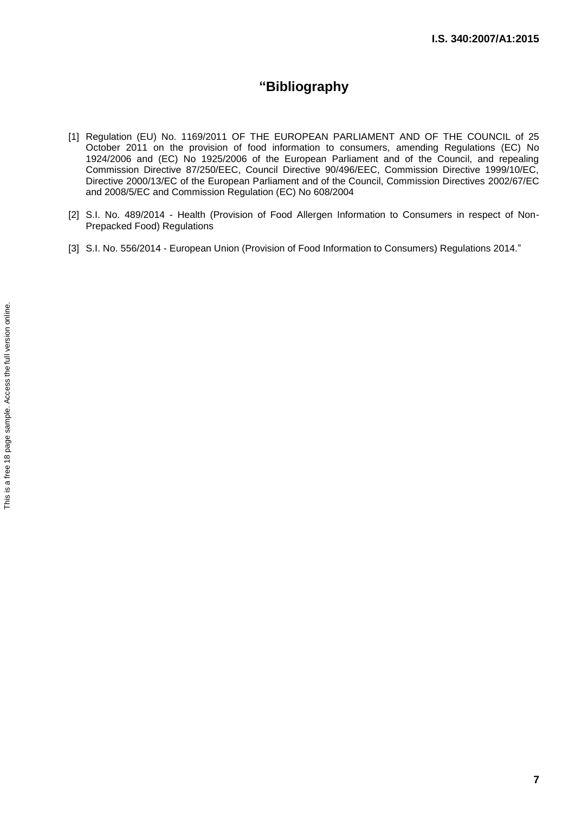# **"Bibliography**

- [1] Regulation (EU) No. 1169/2011 OF THE EUROPEAN PARLIAMENT AND OF THE COUNCIL of 25 October 2011 on the provision of food information to consumers, amending Regulations (EC) No 1924/2006 and (EC) No 1925/2006 of the European Parliament and of the Council, and repealing Commission Directive 87/250/EEC, Council Directive 90/496/EEC, Commission Directive 1999/10/EC, Directive 2000/13/EC of the European Parliament and of the Council, Commission Directives 2002/67/EC and 2008/5/EC and Commission Regulation (EC) No 608/2004
- [2] S.I. No. 489/2014 Health (Provision of Food Allergen Information to Consumers in respect of Non-Prepacked Food) Regulations
- [3] S.I. No. 556/2014 European Union (Provision of Food Information to Consumers) Regulations 2014."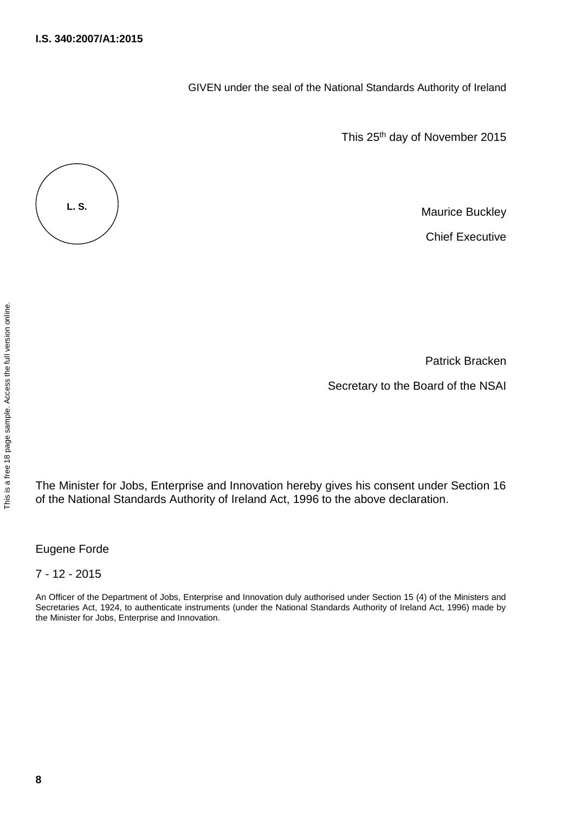GIVEN under the seal of the National Standards Authority of Ireland

This 25<sup>th</sup> day of November 2015

Maurice Buckley

Chief Executive

Patrick Bracken

Secretary to the Board of the NSAI

The Minister for Jobs, Enterprise and Innovation hereby gives his consent under Section 16 of the National Standards Authority of Ireland Act, 1996 to the above declaration.

Eugene Forde

7 - 12 - 2015

An Officer of the Department of Jobs, Enterprise and Innovation duly authorised under Section 15 (4) of the Ministers and Secretaries Act, 1924, to authenticate instruments (under the National Standards Authority of Ireland Act, 1996) made by the Minister for Jobs, Enterprise and Innovation.



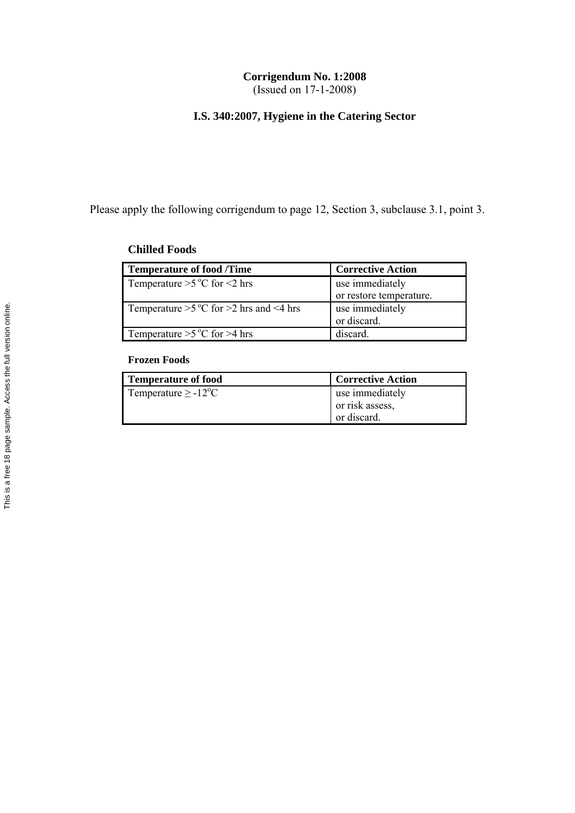# **Corrigendum No. 1:2008**

(Issued on 17-1-2008)

# **I.S. 340:2007, Hygiene in the Catering Sector**

Please apply the following corrigendum to page 12, Section 3, subclause 3.1, point 3.

# **Chilled Foods**

| <b>Temperature of food /Time</b>            | <b>Corrective Action</b> |
|---------------------------------------------|--------------------------|
| Temperature $>5$ °C for <2 hrs              | use immediately          |
|                                             | or restore temperature.  |
| Temperature $>5$ °C for $>2$ hrs and <4 hrs | use immediately          |
|                                             | or discard.              |
| Temperature $>5$ °C for $>4$ hrs            | discard                  |

#### **Frozen Foods**

| <b>Temperature of food</b>            | <b>Corrective Action</b> |
|---------------------------------------|--------------------------|
| Temperature $\geq -12$ <sup>o</sup> C | use immediately          |
|                                       | or risk assess,          |
|                                       | or discard.              |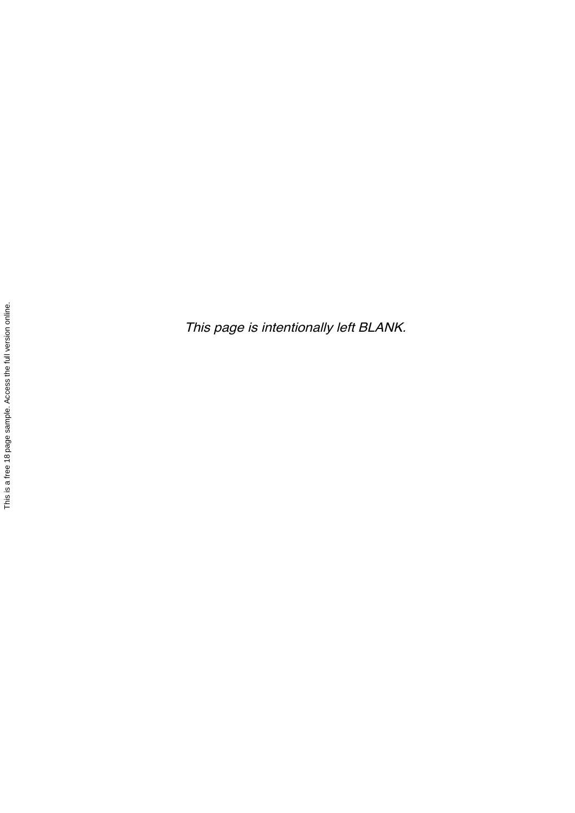This page is intentionally left BLANK.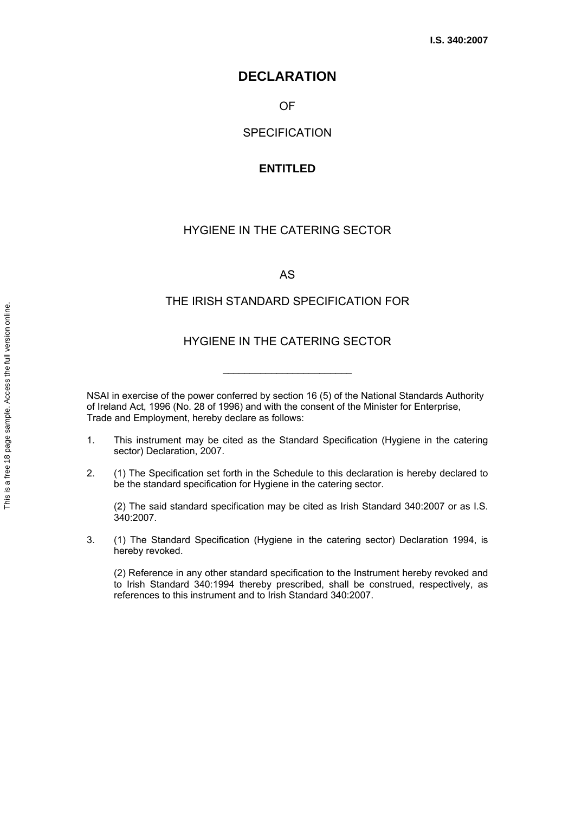# **DECLARATION**

OF

# **SPECIFICATION**

# **ENTITLED**

# HYGIENE IN THE CATERING SECTOR

AS

### THE IRISH STANDARD SPECIFICATION FOR

#### HYGIENE IN THE CATERING SECTOR

 $\overline{\phantom{a}}$  , where  $\overline{\phantom{a}}$  , where  $\overline{\phantom{a}}$  , where  $\overline{\phantom{a}}$ 

NSAI in exercise of the power conferred by section 16 (5) of the National Standards Authority of Ireland Act, 1996 (No. 28 of 1996) and with the consent of the Minister for Enterprise, Trade and Employment, hereby declare as follows:

- 1. This instrument may be cited as the Standard Specification (Hygiene in the catering sector) Declaration, 2007.
- 2. (1) The Specification set forth in the Schedule to this declaration is hereby declared to be the standard specification for Hygiene in the catering sector.

 (2) The said standard specification may be cited as Irish Standard 340:2007 or as I.S. 340:2007.

3. (1) The Standard Specification (Hygiene in the catering sector) Declaration 1994, is hereby revoked.

(2) Reference in any other standard specification to the Instrument hereby revoked and to Irish Standard 340:1994 thereby prescribed, shall be construed, respectively, as references to this instrument and to Irish Standard 340:2007.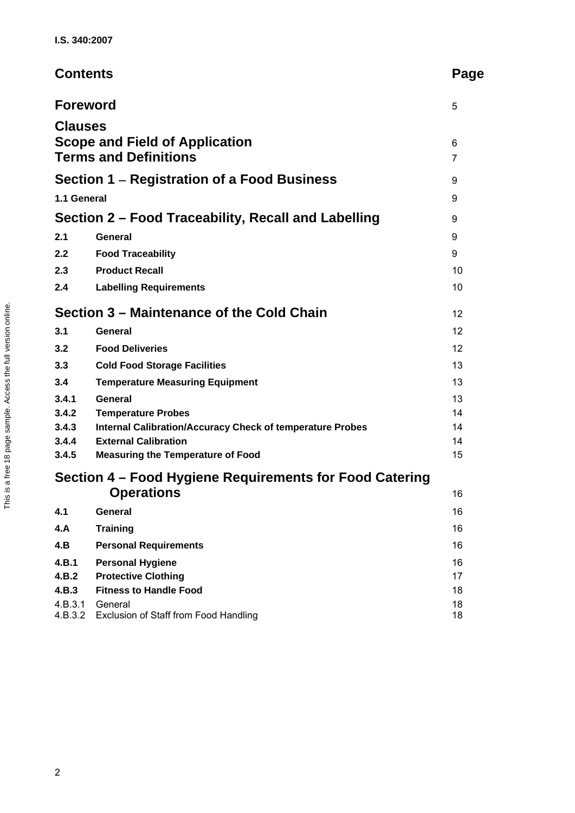| <b>Contents</b>    |                                                                  | Page           |
|--------------------|------------------------------------------------------------------|----------------|
| <b>Foreword</b>    |                                                                  | 5              |
| <b>Clauses</b>     |                                                                  |                |
|                    | <b>Scope and Field of Application</b>                            | 6              |
|                    | <b>Terms and Definitions</b>                                     | $\overline{7}$ |
|                    | Section 1 – Registration of a Food Business                      | 9              |
| 1.1 General        |                                                                  | 9              |
|                    | Section 2 – Food Traceability, Recall and Labelling              | 9              |
| 2.1                | General                                                          | 9              |
| 2.2                | <b>Food Traceability</b>                                         | 9              |
| 2.3                | <b>Product Recall</b>                                            | 10             |
| 2.4                | <b>Labelling Requirements</b>                                    | 10             |
|                    | Section 3 – Maintenance of the Cold Chain                        | 12             |
| 3.1                | General                                                          | 12             |
| 3.2                | <b>Food Deliveries</b>                                           | 12             |
| 3.3                | <b>Cold Food Storage Facilities</b>                              | 13             |
| 3.4                | <b>Temperature Measuring Equipment</b>                           | 13             |
| 3.4.1              | General                                                          | 13             |
| 3.4.2              | <b>Temperature Probes</b>                                        | 14             |
| 3.4.3              | <b>Internal Calibration/Accuracy Check of temperature Probes</b> | 14             |
| 3.4.4              | <b>External Calibration</b>                                      | 14             |
| 3.4.5              | <b>Measuring the Temperature of Food</b>                         | 15             |
|                    | Section 4 - Food Hygiene Requirements for Food Catering          |                |
|                    | <b>Operations</b>                                                | 16             |
| 4.1                | <b>General</b>                                                   | 16             |
| 4.A                | <b>Training</b>                                                  | 16             |
| 4.B                | <b>Personal Requirements</b>                                     | 16             |
| 4.B.1              | <b>Personal Hygiene</b>                                          | 16             |
| 4.B.2              | <b>Protective Clothing</b>                                       | 17             |
| 4.B.3              | <b>Fitness to Handle Food</b>                                    | 18             |
| 4.B.3.1<br>4.B.3.2 | General<br>Exclusion of Staff from Food Handling                 | 18<br>18       |
|                    |                                                                  |                |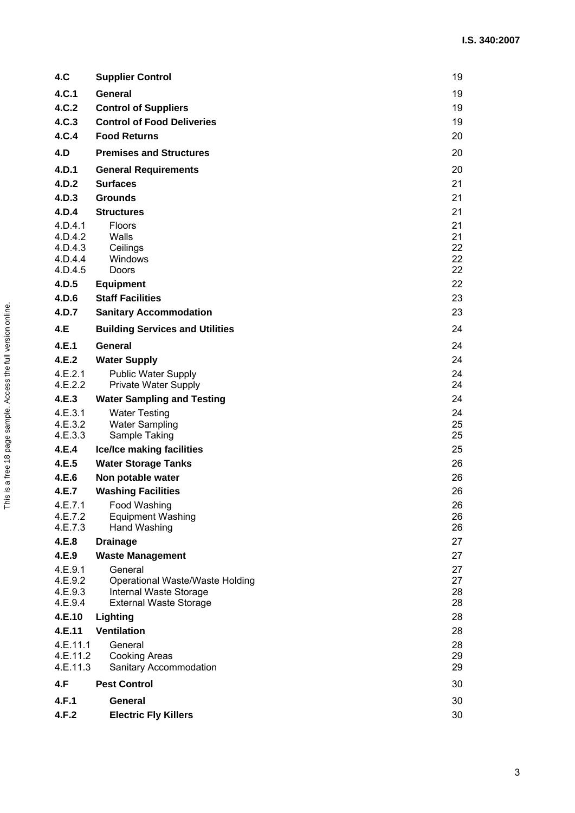| 4.C                  | <b>Supplier Control</b>                       | 19       |
|----------------------|-----------------------------------------------|----------|
| 4.C.1                | General                                       | 19       |
| 4.C.2                | <b>Control of Suppliers</b>                   | 19       |
| 4.C.3                | <b>Control of Food Deliveries</b>             | 19       |
| 4.C.4                | <b>Food Returns</b>                           | 20       |
| 4.D                  | <b>Premises and Structures</b>                | 20       |
| 4.D.1                | <b>General Requirements</b>                   | 20       |
| 4.D.2                | <b>Surfaces</b>                               | 21       |
| 4.D.3                | <b>Grounds</b>                                | 21       |
| 4.D.4                | <b>Structures</b>                             | 21       |
| 4.D.4.1              | Floors                                        | 21       |
| 4.D.4.2              | Walls                                         | 21       |
| 4.D.4.3              | Ceilings                                      | 22       |
| 4.D.4.4<br>4.D.4.5   | Windows<br>Doors                              | 22<br>22 |
| 4.D.5                | <b>Equipment</b>                              | 22       |
| 4.D.6                | <b>Staff Facilities</b>                       | 23       |
| 4.D.7                | <b>Sanitary Accommodation</b>                 | 23       |
| 4.E                  | <b>Building Services and Utilities</b>        | 24       |
| 4.E.1                | General                                       | 24       |
| 4.E.2                | <b>Water Supply</b>                           | 24       |
| 4.E.2.1              | <b>Public Water Supply</b>                    | 24       |
| 4.E.2.2              | Private Water Supply                          | 24       |
| 4.E.3                | <b>Water Sampling and Testing</b>             | 24       |
| 4.E.3.1              | <b>Water Testing</b>                          | 24       |
| 4.E.3.2              | <b>Water Sampling</b>                         | 25       |
| 4.E.3.3              | Sample Taking                                 | 25       |
| 4.E.4                | Ice/Ice making facilities                     | 25       |
| 4.E.5                | <b>Water Storage Tanks</b>                    | 26       |
| 4.E.6                | Non potable water                             | 26       |
| 4.E.7                | <b>Washing Facilities</b>                     | 26       |
| 4.E.7.1<br>4.E.7.2   | Food Washing                                  | 26       |
| 4.E.7.3              | <b>Equipment Washing</b><br>Hand Washing      | 26<br>26 |
| 4.E.8                | <b>Drainage</b>                               | 27       |
| 4.E.9                | <b>Waste Management</b>                       | 27       |
| 4.E.9.1              | General                                       | 27       |
| 4.E.9.2              | <b>Operational Waste/Waste Holding</b>        | 27       |
| 4.E.9.3              | Internal Waste Storage                        | 28       |
| 4.E.9.4              | <b>External Waste Storage</b>                 | 28       |
| 4.E.10               | Lighting                                      | 28       |
| 4.E.11               | <b>Ventilation</b>                            | 28       |
| 4.E.11.1             | General                                       | 28       |
| 4.E.11.2<br>4.E.11.3 | <b>Cooking Areas</b>                          | 29       |
|                      | Sanitary Accommodation<br><b>Pest Control</b> | 29       |
| 4.F                  |                                               | 30       |
| 4.F.1                | <b>General</b>                                | 30       |
| 4.F.2                | <b>Electric Fly Killers</b>                   | 30       |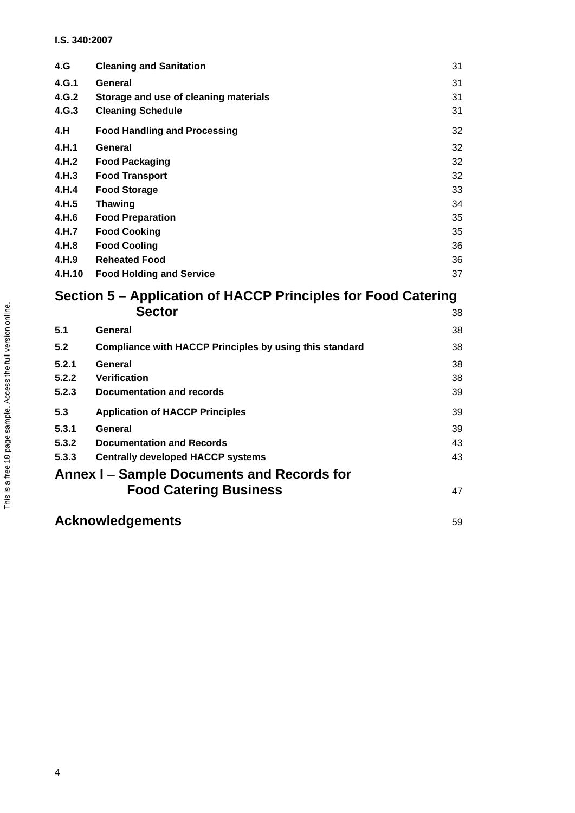# **I.S. 340:2007**

| 4.G    | <b>Cleaning and Sanitation</b>        | 31 |
|--------|---------------------------------------|----|
| 4.G.1  | General                               | 31 |
| 4.G.2  | Storage and use of cleaning materials | 31 |
| 4.G.3  | <b>Cleaning Schedule</b>              | 31 |
| 4.H    | <b>Food Handling and Processing</b>   | 32 |
| 4.H.1  | General                               | 32 |
| 4.H.2  | <b>Food Packaging</b>                 | 32 |
| 4.H.3  | <b>Food Transport</b>                 | 32 |
| 4.H.4  | <b>Food Storage</b>                   | 33 |
| 4.H.5  | Thawing                               | 34 |
| 4.H.6  | <b>Food Preparation</b>               | 35 |
| 4.H.7  | <b>Food Cooking</b>                   | 35 |
| 4.H.8  | <b>Food Cooling</b>                   | 36 |
| 4.H.9  | <b>Reheated Food</b>                  | 36 |
| 4.H.10 | <b>Food Holding and Service</b>       | 37 |

# **Section 5 – Application of HACCP Principles for Food Catering Sector** 38

| 5.1                                                                         | General                                                 | 38 |
|-----------------------------------------------------------------------------|---------------------------------------------------------|----|
| 5.2                                                                         | Compliance with HACCP Principles by using this standard | 38 |
| 5.2.1                                                                       | General                                                 | 38 |
| 5.2.2                                                                       | Verification                                            | 38 |
| 5.2.3                                                                       | <b>Documentation and records</b>                        | 39 |
| 5.3                                                                         | <b>Application of HACCP Principles</b>                  | 39 |
| 5.3.1                                                                       | General                                                 | 39 |
| 5.3.2                                                                       | <b>Documentation and Records</b>                        | 43 |
| 5.3.3                                                                       | <b>Centrally developed HACCP systems</b>                | 43 |
| Annex I – Sample Documents and Records for<br><b>Food Catering Business</b> |                                                         | 47 |
|                                                                             | <b>Acknowledgements</b>                                 | 59 |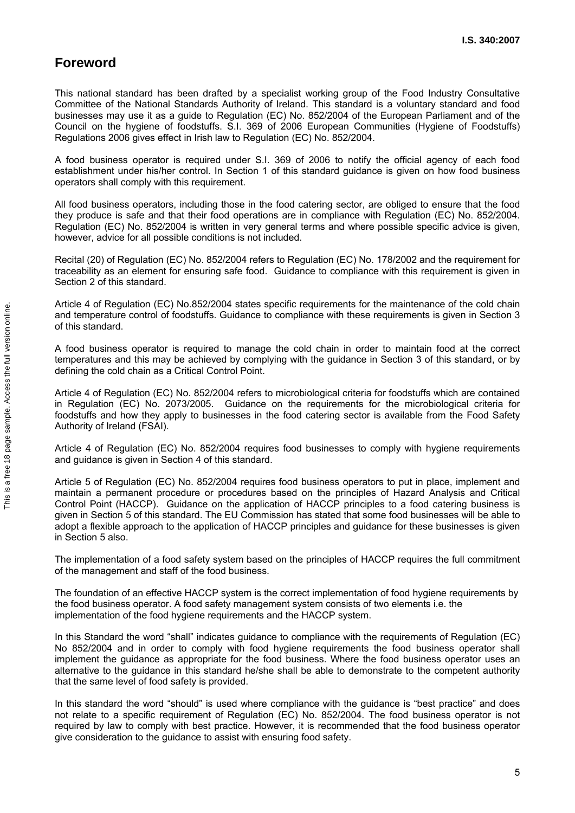# **Foreword**

This national standard has been drafted by a specialist working group of the Food Industry Consultative Committee of the National Standards Authority of Ireland. This standard is a voluntary standard and food businesses may use it as a guide to Regulation (EC) No. 852/2004 of the European Parliament and of the Council on the hygiene of foodstuffs. S.I. 369 of 2006 European Communities (Hygiene of Foodstuffs) Regulations 2006 gives effect in Irish law to Regulation (EC) No. 852/2004.

A food business operator is required under S.I. 369 of 2006 to notify the official agency of each food establishment under his/her control. In Section 1 of this standard guidance is given on how food business operators shall comply with this requirement.

All food business operators, including those in the food catering sector, are obliged to ensure that the food they produce is safe and that their food operations are in compliance with Regulation (EC) No. 852/2004. Regulation (EC) No. 852/2004 is written in very general terms and where possible specific advice is given, however, advice for all possible conditions is not included.

Recital (20) of Regulation (EC) No. 852/2004 refers to Regulation (EC) No. 178/2002 and the requirement for traceability as an element for ensuring safe food. Guidance to compliance with this requirement is given in Section 2 of this standard.

Article 4 of Regulation (EC) No.852/2004 states specific requirements for the maintenance of the cold chain and temperature control of foodstuffs. Guidance to compliance with these requirements is given in Section 3 of this standard.

A food business operator is required to manage the cold chain in order to maintain food at the correct temperatures and this may be achieved by complying with the guidance in Section 3 of this standard, or by defining the cold chain as a Critical Control Point.

Article 4 of Regulation (EC) No. 852/2004 refers to microbiological criteria for foodstuffs which are contained in Regulation (EC) No. 2073/2005. Guidance on the requirements for the microbiological criteria for foodstuffs and how they apply to businesses in the food catering sector is available from the Food Safety Authority of Ireland (FSAI).

Article 4 of Regulation (EC) No. 852/2004 requires food businesses to comply with hygiene requirements and guidance is given in Section 4 of this standard.

Article 5 of Regulation (EC) No. 852/2004 requires food business operators to put in place, implement and maintain a permanent procedure or procedures based on the principles of Hazard Analysis and Critical Control Point (HACCP). Guidance on the application of HACCP principles to a food catering business is given in Section 5 of this standard. The EU Commission has stated that some food businesses will be able to adopt a flexible approach to the application of HACCP principles and guidance for these businesses is given in Section 5 also.

The implementation of a food safety system based on the principles of HACCP requires the full commitment of the management and staff of the food business.

The foundation of an effective HACCP system is the correct implementation of food hygiene requirements by the food business operator. A food safety management system consists of two elements i.e. the implementation of the food hygiene requirements and the HACCP system.

In this Standard the word "shall" indicates guidance to compliance with the requirements of Regulation (EC) No 852/2004 and in order to comply with food hygiene requirements the food business operator shall implement the guidance as appropriate for the food business. Where the food business operator uses an alternative to the guidance in this standard he/she shall be able to demonstrate to the competent authority that the same level of food safety is provided.

In this standard the word "should" is used where compliance with the guidance is "best practice" and does not relate to a specific requirement of Regulation (EC) No. 852/2004. The food business operator is not required by law to comply with best practice. However, it is recommended that the food business operator give consideration to the guidance to assist with ensuring food safety.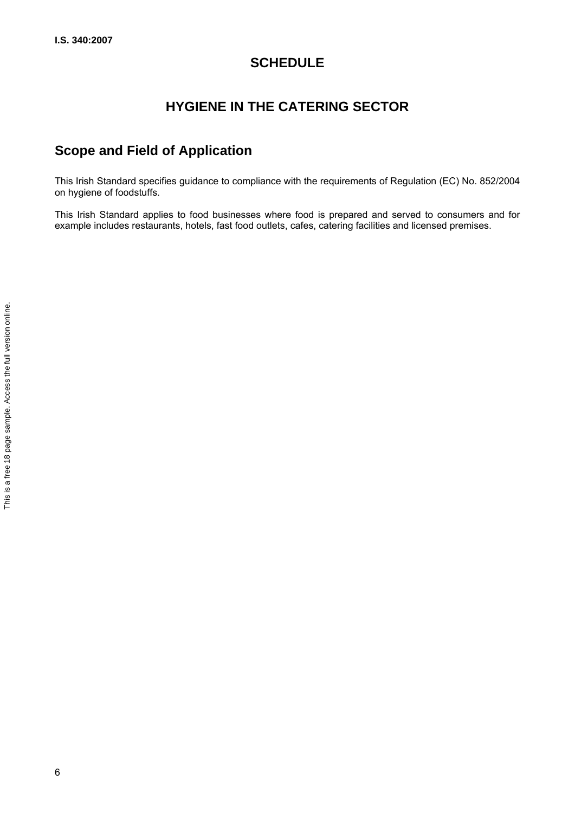# **SCHEDULE**

# **HYGIENE IN THE CATERING SECTOR**

# **Scope and Field of Application**

This Irish Standard specifies guidance to compliance with the requirements of Regulation (EC) No. 852/2004 on hygiene of foodstuffs.

This Irish Standard applies to food businesses where food is prepared and served to consumers and for example includes restaurants, hotels, fast food outlets, cafes, catering facilities and licensed premises.